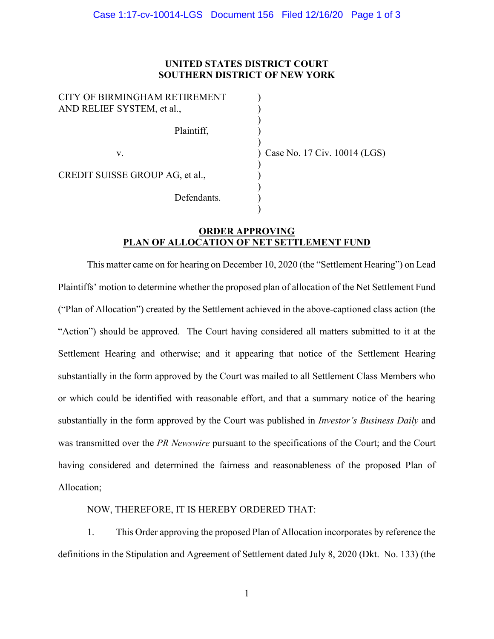## **UNITED STATES DISTRICT COURT SOUTHERN DISTRICT OF NEW YORK**

) ) ) ) )

) ) ) ) )

| CITY OF BIRMINGHAM RETIREMENT<br>AND RELIEF SYSTEM, et al., |
|-------------------------------------------------------------|
| Plaintiff,                                                  |
| V.                                                          |
| CREDIT SUISSE GROUP AG, et al.,                             |
| Defendants.                                                 |

) Case No. 17 Civ. 10014 (LGS)

## **ORDER APPROVING PLAN OF ALLOCATION OF NET SETTLEMENT FUND**

This matter came on for hearing on December 10, 2020 (the "Settlement Hearing") on Lead Plaintiffs' motion to determine whether the proposed plan of allocation of the Net Settlement Fund ("Plan of Allocation") created by the Settlement achieved in the above-captioned class action (the "Action") should be approved. The Court having considered all matters submitted to it at the Settlement Hearing and otherwise; and it appearing that notice of the Settlement Hearing substantially in the form approved by the Court was mailed to all Settlement Class Members who or which could be identified with reasonable effort, and that a summary notice of the hearing substantially in the form approved by the Court was published in *Investor's Business Daily* and was transmitted over the *PR Newswire* pursuant to the specifications of the Court; and the Court having considered and determined the fairness and reasonableness of the proposed Plan of Allocation;

## NOW, THEREFORE, IT IS HEREBY ORDERED THAT:

1. This Order approving the proposed Plan of Allocation incorporates by reference the definitions in the Stipulation and Agreement of Settlement dated July 8, 2020 (Dkt. No. 133) (the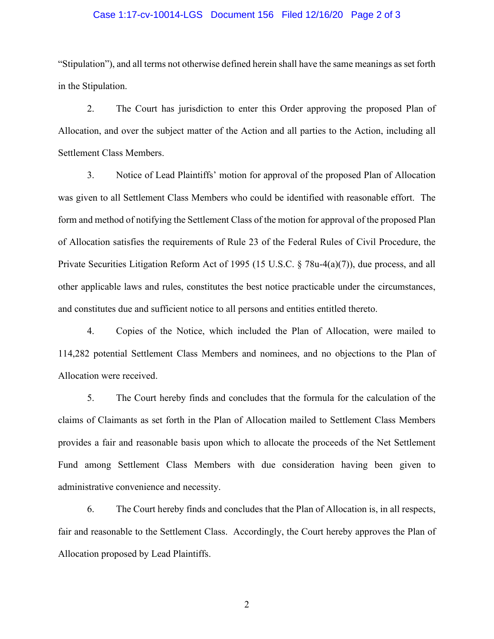## Case 1:17-cv-10014-LGS Document 156 Filed 12/16/20 Page 2 of 3

"Stipulation"), and all terms not otherwise defined herein shall have the same meanings as set forth in the Stipulation.

2. The Court has jurisdiction to enter this Order approving the proposed Plan of Allocation, and over the subject matter of the Action and all parties to the Action, including all Settlement Class Members.

3. Notice of Lead Plaintiffs' motion for approval of the proposed Plan of Allocation was given to all Settlement Class Members who could be identified with reasonable effort. The form and method of notifying the Settlement Class of the motion for approval of the proposed Plan of Allocation satisfies the requirements of Rule 23 of the Federal Rules of Civil Procedure, the Private Securities Litigation Reform Act of 1995 (15 U.S.C. § 78u-4(a)(7)), due process, and all other applicable laws and rules, constitutes the best notice practicable under the circumstances, and constitutes due and sufficient notice to all persons and entities entitled thereto.

4. Copies of the Notice, which included the Plan of Allocation, were mailed to 114,282 potential Settlement Class Members and nominees, and no objections to the Plan of Allocation were received.

5. The Court hereby finds and concludes that the formula for the calculation of the claims of Claimants as set forth in the Plan of Allocation mailed to Settlement Class Members provides a fair and reasonable basis upon which to allocate the proceeds of the Net Settlement Fund among Settlement Class Members with due consideration having been given to administrative convenience and necessity.

6. The Court hereby finds and concludes that the Plan of Allocation is, in all respects, fair and reasonable to the Settlement Class. Accordingly, the Court hereby approves the Plan of Allocation proposed by Lead Plaintiffs.

2